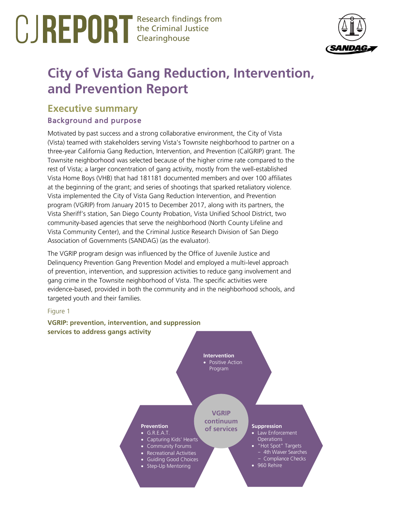# Research findings from the Criminal Justice Clearinghouse



# **City of Vista Gang Reduction, Intervention, and Prevention Report**

# **Executive summary** Background and purpose

Motivated by past success and a strong collaborative environment, the City of Vista (Vista) teamed with stakeholders serving Vista's Townsite neighborhood to partner on a three-year California Gang Reduction, Intervention, and Prevention (CalGRIP) grant. The Townsite neighborhood was selected because of the higher crime rate compared to the rest of Vista; a larger concentration of gang activity, mostly from the well-established Vista Home Boys (VHB) that had 181181 documented members and over 100 affiliates at the beginning of the grant; and series of shootings that sparked retaliatory violence. Vista implemented the City of Vista Gang Reduction Intervention, and Prevention program (VGRIP) from January 2015 to December 2017, along with its partners, the Vista Sheriff's station, San Diego County Probation, Vista Unified School District, two community-based agencies that serve the neighborhood (North County Lifeline and Vista Community Center), and the Criminal Justice Research Division of San Diego Association of Governments (SANDAG) (as the evaluator).

The VGRIP program design was influenced by the Office of Juvenile Justice and Delinquency Prevention Gang Prevention Model and employed a multi-level approach of prevention, intervention, and suppression activities to reduce gang involvement and gang crime in the Townsite neighborhood of Vista. The specific activities were evidence-based, provided in both the community and in the neighborhood schools, and targeted youth and their families.

### Figure 1

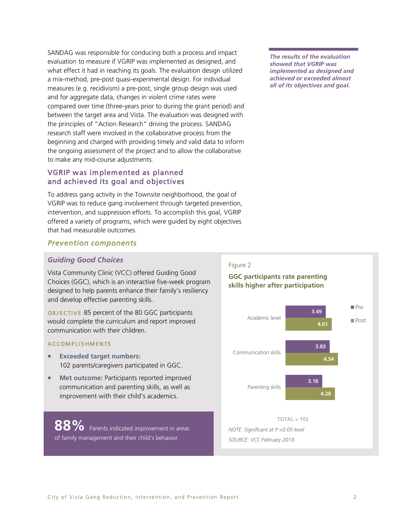SANDAG was responsible for conducing both a process and impact evaluation to measure if VGRIP was implemented as designed, and what effect it had in reaching its goals. The evaluation design utilized a mix-method, pre-post quasi-experimental design. For individual measures (e.g. recidivism) a pre-post, single group design was used and for aggregate data, changes in violent crime rates were compared over time (three-years prior to during the grant period) and between the target area and Vista. The evaluation was designed with the principles of "Action Research" driving the process. SANDAG research staff were involved in the collaborative process from the beginning and charged with providing timely and valid data to inform the ongoing assessment of the project and to allow the collaborative to make any mid-course adjustments.

# VGRIP was implemented as planned and achieved its goal and objectives

To address gang activity in the Townsite neighborhood, the goal of VGRIP was to reduce gang involvement through targeted prevention, intervention, and suppression efforts. To accomplish this goal, VGRIP offered a variety of programs, which were guided by eight objectives that had measurable outcomes.

#### *The results of the evaluation showed that VGRIP was implemented as designed and achieved or exceeded almost all of its objectives and goal.*

# *Prevention components*

### *Guiding Good Choices*

Vista Community Clinic (VCC) offered Guiding Good Choices (GGC), which is an interactive five-week program designed to help parents enhance their family's resiliency and develop effective parenting skills.

OBJECTIVE 85 percent of the 80 GGC participants would complete the curriculum and report improved communication with their children.

#### **ACCOMPLISHMENTS**

- **Exceeded target numbers:** 102 parents/caregivers participated in GGC.
- **Met outcome:** Participants reported improved communication and parenting skills, as well as improvement with their child's academics.

88% Parents indicated improvement in areas of family management and their child's behavior.

# Figure 2

# **GGC participants rate parenting skills higher after participation**

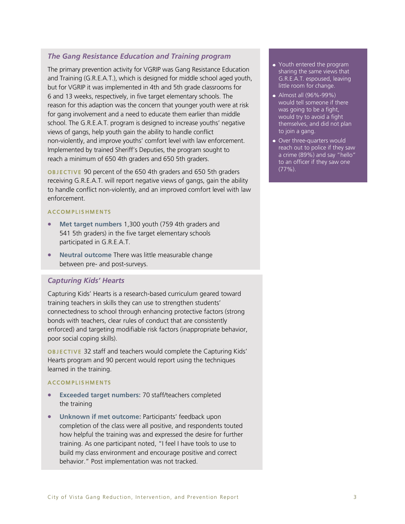### *The Gang Resistance Education and Training program*

The primary prevention activity for VGRIP was Gang Resistance Education and Training (G.R.E.A.T.), which is designed for middle school aged youth, but for VGRIP it was implemented in 4th and 5th grade classrooms for 6 and 13 weeks, respectively, in five target elementary schools. The reason for this adaption was the concern that younger youth were at risk for gang involvement and a need to educate them earlier than middle school. The G.R.E.A.T. program is designed to increase youths' negative views of gangs, help youth gain the ability to handle conflict non-violently, and improve youths' comfort level with law enforcement. Implemented by trained Sheriff's Deputies, the program sought to reach a minimum of 650 4th graders and 650 5th graders.

OBJECTIVE 90 percent of the 650 4th graders and 650 5th graders receiving G.R.E.A.T. will report negative views of gangs, gain the ability to handle conflict non-violently, and an improved comfort level with law enforcement.

#### A C COMPLISHMENTS

- **Met target numbers** 1,300 youth (759 4th graders and 541 5th graders) in the five target elementary schools participated in G.R.E.A.T.
- **Neutral outcome** There was little measurable change between pre- and post-surveys.

### *Capturing Kids' Hearts*

Capturing Kids' Hearts is a research-based curriculum geared toward training teachers in skills they can use to strengthen students' connectedness to school through enhancing protective factors (strong bonds with teachers, clear rules of conduct that are consistently enforced) and targeting modifiable risk factors (inappropriate behavior, poor social coping skills).

OBJECTIVE 32 staff and teachers would complete the Capturing Kids' Hearts program and 90 percent would report using the techniques learned in the training.

#### **ACCOMPLISHMENTS**

- **Exceeded target numbers:** 70 staff/teachers completed the training
- **Unknown if met outcome:** Participants' feedback upon completion of the class were all positive, and respondents touted how helpful the training was and expressed the desire for further training. As one participant noted, "I feel I have tools to use to build my class environment and encourage positive and correct behavior." Post implementation was not tracked.
- Youth entered the program sharing the same views that G.R.E.A.T. espoused, leaving little room for change.
- Almost all (96%-99%) would tell someone if there was going to be a fight, would try to avoid a fight themselves, and did not plan to join a gang.
- Over three-quarters would reach out to police if they saw a crime (89%) and say "hello" to an officer if they saw one  $(77\%)$ .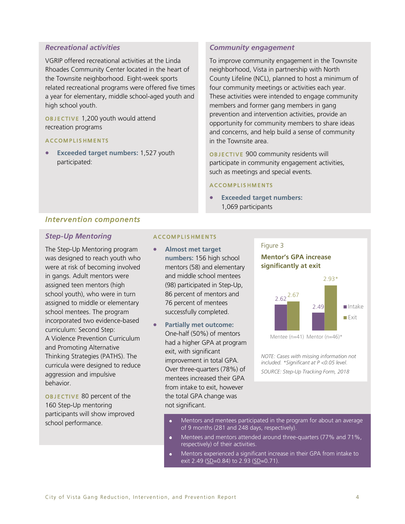### *Recreational activities*

VGRIP offered recreational activities at the Linda Rhoades Community Center located in the heart of the Townsite neighborhood. Eight-week sports related recreational programs were offered five times a year for elementary, middle school-aged youth and high school youth.

OBJECTIVE 1,200 youth would attend recreation programs

### A C C O M P L I S H M E N T S

• **Exceeded target numbers:** 1,527 youth participated:

### *Community engagement*

To improve community engagement in the Townsite neighborhood, Vista in partnership with North County Lifeline (NCL), planned to host a minimum of four community meetings or activities each year. These activities were intended to engage community members and former gang members in gang prevention and intervention activities, provide an opportunity for community members to share ideas and concerns, and help build a sense of community in the Townsite area.

OBJECTIVE 900 community residents will participate in community engagement activities, such as meetings and special events.

Figure 3

### A C COMPLISHMENTS

• **Exceeded target numbers:** 1,069 participants

### *Intervention components*

### *Step-Up Mentoring*

The Step-Up Mentoring program was designed to reach youth who were at risk of becoming involved in gangs. Adult mentors were assigned teen mentors (high school youth), who were in turn assigned to middle or elementary school mentees. The program incorporated two evidence-based curriculum: Second Step: A Violence Prevention Curriculum and Promoting Alternative Thinking Strategies (PATHS). The curricula were designed to reduce aggression and impulsive behavior.

OBJECTIVE 80 percent of the 160 Step-Up mentoring participants will show improved school performance.

#### A C COMPLISHMENTS

- **Almost met target numbers:** 156 high school mentors (58) and elementary and middle school mentees (98) participated in Step-Up, 86 percent of mentors and 76 percent of mentees successfully completed.
- **Partially met outcome:** One-half (50%) of mentors had a higher GPA at program exit, with significant improvement in total GPA. Over three-quarters (78%) of mentees increased their GPA from intake to exit, however the total GPA change was not significant.

# **Mentor's GPA increase significantly at exit**



Mentee (n=41) Mentor (n=46)\*

*NOTE: Cases with missing information not included. \*Significant at P <0.05 level. SOURCE: Step-Up Tracking Form, 2018*

- Mentors and mentees participated in the program for about an average of 9 months (281 and 248 days, respectively).
- Mentees and mentors attended around three-quarters (77% and 71%,  $\bullet$ respectively) of their activities.
- Mentors experienced a significant increase in their GPA from intake to exit 2.49 ( $SD = 0.84$ ) to 2.93 ( $SD = 0.71$ ).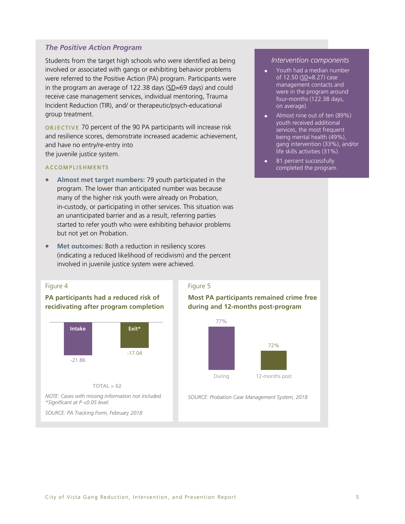### *The Positive Action Program*

Students from the target high schools who were identified as being involved or associated with gangs or exhibiting behavior problems were referred to the Positive Action (PA) program. Participants were in the program an average of 122.38 days (SD=69 days) and could receive case management services, individual mentoring, Trauma Incident Reduction (TIR), and/ or therapeutic/psych-educational group treatment.

OBJECTIVE 70 percent of the 90 PA participants will increase risk and resilience scores, demonstrate increased academic achievement, and have no entry/re-entry into the juvenile justice system.

### A C COMPLISHMENTS

- **Almost met target numbers:** 79 youth participated in the program. The lower than anticipated number was because many of the higher risk youth were already on Probation, in-custody, or participating in other services. This situation was an unanticipated barrier and as a result, referring parties started to refer youth who were exhibiting behavior problems but not yet on Probation.
- **Met outcomes:** Both a reduction in resiliency scores (indicating a reduced likelihood of recidivism) and the percent involved in juvenile justice system were achieved.

#### Figure 4

### **PA participants had a reduced risk of recidivating after program completion**



**TOTAL = 62**

*NOTE: Cases with missing information not included. \*Significant at P <0.05 level.*

*SOURCE: PA Tracking Form, February 2018*

### Figure 5

### **Most PA participants remained crime free during and 12-months post-program**



*SOURCE: Probation Case Management System, 2018*

#### *Intervention components*

- Youth had a median number of 12.50 (SD=8.27) case management contacts and were in the program around four-months (122.38 days, on average).
- Almost nine out of ten (89%) youth received additional services, the most frequent being mental health (49%), gang intervention (33%), and/or life skills activities (31%).
- 81 percent successfully completed the program.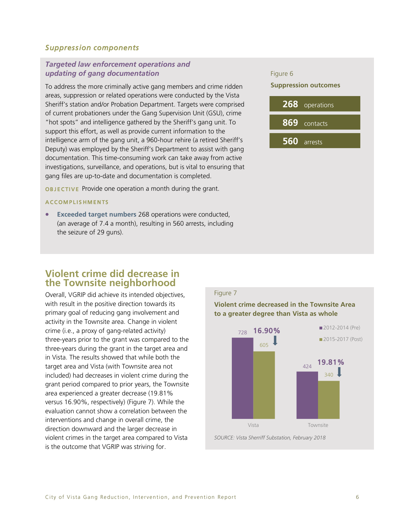### *Suppression components*

### *Targeted law enforcement operations and updating of gang documentation*

To address the more criminally active gang members and crime ridden areas, suppression or related operations were conducted by the Vista Sheriff's station and/or Probation Department. Targets were comprised of current probationers under the Gang Supervision Unit (GSU), crime "hot spots" and intelligence gathered by the Sheriff's gang unit. To support this effort, as well as provide current information to the intelligence arm of the gang unit, a 960-hour rehire (a retired Sheriff's Deputy) was employed by the Sheriff's Department to assist with gang documentation. This time-consuming work can take away from active investigations, surveillance, and operations, but is vital to ensuring that gang files are up-to-date and documentation is completed.

**OBJECTIVE** Provide one operation a month during the grant.

#### A C COMPLISHMENTS

**Exceeded target numbers** 268 operations were conducted, (an average of 7.4 a month), resulting in 560 arrests, including the seizure of 29 guns).

#### Figure 6

#### **Suppression outcomes**



# **Violent crime did decrease in the Townsite neighborhood**

Overall, VGRIP did achieve its intended objectives, with result in the positive direction towards its primary goal of reducing gang involvement and activity in the Townsite area. Change in violent crime (i.e., a proxy of gang-related activity) three-years prior to the grant was compared to the three-years during the grant in the target area and in Vista. The results showed that while both the target area and Vista (with Townsite area not included) had decreases in violent crime during the grant period compared to prior years, the Townsite area experienced a greater decrease (19.81% versus 16.90%, respectively) (Figure 7). While the evaluation cannot show a correlation between the interventions and change in overall crime, the direction downward and the larger decrease in violent crimes in the target area compared to Vista is the outcome that VGRIP was striving for.

# Figure 7

**Violent crime decreased in the Townsite Area to a greater degree than Vista as whole**

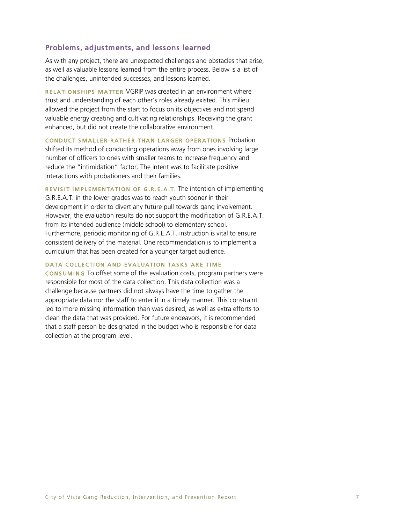### Problems, adjustments, and lessons learned

As with any project, there are unexpected challenges and obstacles that arise, as well as valuable lessons learned from the entire process. Below is a list of the challenges, unintended successes, and lessons learned.

RELATIONSHIPS MATTER VGRIP was created in an environment where trust and understanding of each other's roles already existed. This milieu allowed the project from the start to focus on its objectives and not spend valuable energy creating and cultivating relationships. Receiving the grant enhanced, but did not create the collaborative environment.

CONDUCT SMALLER RATHER THAN LARGER OPERATIONS Probation shifted its method of conducting operations away from ones involving large number of officers to ones with smaller teams to increase frequency and reduce the "intimidation" factor. The intent was to facilitate positive interactions with probationers and their families.

REVISIT IMPLEMENTATION OF G.R.E.A.T. The intention of implementing G.R.E.A.T. in the lower grades was to reach youth sooner in their development in order to divert any future pull towards gang involvement. However, the evaluation results do not support the modification of G.R.E.A.T. from its intended audience (middle school) to elementary school. Furthermore, periodic monitoring of G.R.E.A.T. instruction is vital to ensure consistent delivery of the material. One recommendation is to implement a curriculum that has been created for a younger target audience.

### DATA COLLECTION AND EVALUATION TASKS ARE TIME

**CONSUMING** To offset some of the evaluation costs, program partners were responsible for most of the data collection. This data collection was a challenge because partners did not always have the time to gather the appropriate data nor the staff to enter it in a timely manner. This constraint led to more missing information than was desired, as well as extra efforts to clean the data that was provided. For future endeavors, it is recommended that a staff person be designated in the budget who is responsible for data collection at the program level.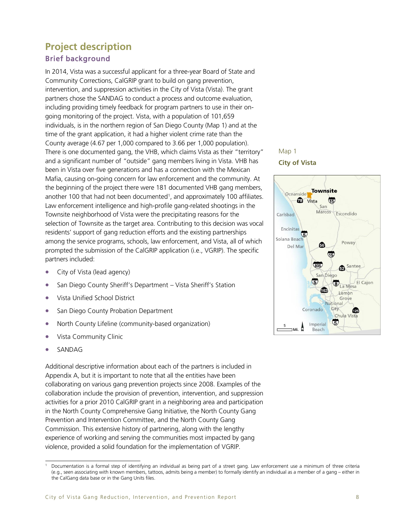# **Project description** Brief background

In 2014, Vista was a successful applicant for a three-year Board of State and Community Corrections, CalGRIP grant to build on gang prevention, intervention, and suppression activities in the City of Vista (Vista). The grant partners chose the SANDAG to conduct a process and outcome evaluation, including providing timely feedback for program partners to use in their ongoing monitoring of the project. Vista, with a population of 101,659 individuals, is in the northern region of San Diego County (Map 1) and at the time of the grant application, it had a higher violent crime rate than the County average (4.67 per 1,000 compared to 3.66 per 1,000 population). There is one documented gang, the VHB, which claims Vista as their "territory" and a significant number of "outside" gang members living in Vista. VHB has been in Vista over five generations and has a connection with the Mexican Mafia, causing on-going concern for law enforcement and the community. At the beginning of the project there were 181 documented VHB gang members, another 100 that had not been documented<sup>1</sup>, and approximately 100 affiliates. Law enforcement intelligence and high-profile gang-related shootings in the Townsite neighborhood of Vista were the precipitating reasons for the selection of Townsite as the target area. Contributing to this decision was vocal residents' support of gang reduction efforts and the existing partnerships among the service programs, schools, law enforcement, and Vista, all of which prompted the submission of the CalGRIP application (i.e., VGRIP). The specific partners included:

- City of Vista (lead agency)
- San Diego County Sheriff's Department Vista Sheriff's Station
- Vista Unified School District
- San Diego County Probation Department
- North County Lifeline (community-based organization)
- Vista Community Clinic
- SANDAG

Additional descriptive information about each of the partners is included in Appendix A, but it is important to note that all the entities have been collaborating on various gang prevention projects since 2008. Examples of the collaboration include the provision of prevention, intervention, and suppression activities for a prior 2010 CalGRIP grant in a neighboring area and participation in the North County Comprehensive Gang Initiative, the North County Gang Prevention and Intervention Committee, and the North County Gang Commission. This extensive history of partnering, along with the lengthy experience of working and serving the communities most impacted by gang violence, provided a solid foundation for the implementation of VGRIP.

# Map 1

### **City of Vista**



j <sup>1</sup> Documentation is a formal step of identifying an individual as being part of a street gang. Law enforcement use a minimum of three criteria (e.g., seen associating with known members, tattoos, admits being a member) to formally identify an individual as a member of a gang – either in the CalGang data base or in the Gang Units files.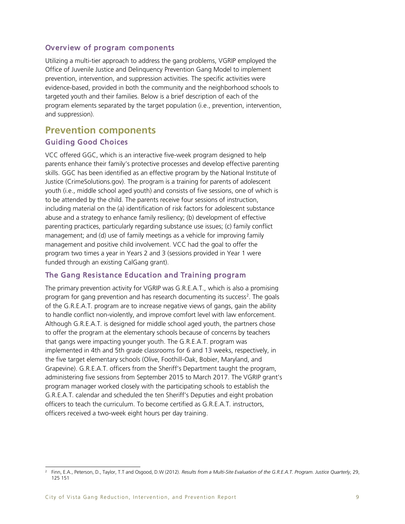# Overview of program components

Utilizing a multi-tier approach to address the gang problems, VGRIP employed the Office of Juvenile Justice and Delinquency Prevention Gang Model to implement prevention, intervention, and suppression activities. The specific activities were evidence-based, provided in both the community and the neighborhood schools to targeted youth and their families. Below is a brief description of each of the program elements separated by the target population (i.e., prevention, intervention, and suppression).

# **Prevention components** Guiding Good Choices

VCC offered GGC, which is an interactive five-week program designed to help parents enhance their family's protective processes and develop effective parenting skills. GGC has been identified as an effective program by the National Institute of Justice (CrimeSolutions.gov). The program is a training for parents of adolescent youth (i.e., middle school aged youth) and consists of five sessions, one of which is to be attended by the child. The parents receive four sessions of instruction, including material on the (a) identification of risk factors for adolescent substance abuse and a strategy to enhance family resiliency; (b) development of effective parenting practices, particularly regarding substance use issues; (c) family conflict management; and (d) use of family meetings as a vehicle for improving family management and positive child involvement. VCC had the goal to offer the program two times a year in Years 2 and 3 (sessions provided in Year 1 were funded through an existing CalGang grant).

# The Gang Resistance Education and Training program

The primary prevention activity for VGRIP was G.R.E.A.T., which is also a promising program for gang prevention and has research documenting its success<sup>2</sup>. The goals of the G.R.E.A.T. program are to increase negative views of gangs, gain the ability to handle conflict non-violently, and improve comfort level with law enforcement. Although G.R.E.A.T. is designed for middle school aged youth, the partners chose to offer the program at the elementary schools because of concerns by teachers that gangs were impacting younger youth. The G.R.E.A.T. program was implemented in 4th and 5th grade classrooms for 6 and 13 weeks, respectively, in the five target elementary schools (Olive, Foothill-Oak, Bobier, Maryland, and Grapevine). G.R.E.A.T. officers from the Sheriff's Department taught the program, administering five sessions from September 2015 to March 2017. The VGRIP grant's program manager worked closely with the participating schools to establish the G.R.E.A.T. calendar and scheduled the ten Sheriff's Deputies and eight probation officers to teach the curriculum. To become certified as G.R.E.A.T. instructors, officers received a two-week eight hours per day training.

j 2 Finn, E.A., Peterson, D., Taylor, T.T and Osgood, D.W (2012). *Results from a Multi-Site Evaluation of the G.R.E.A.T. Program*. *Justice Quarterly*, 29, 125 151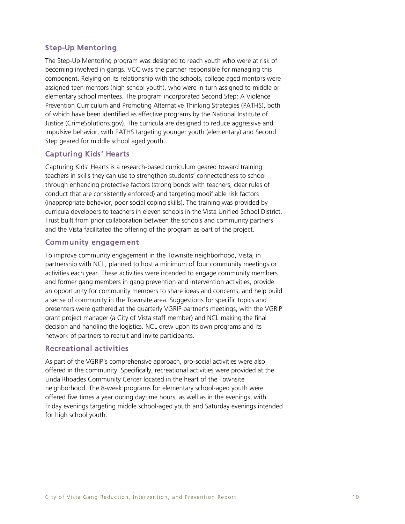# Step-Up Mentoring

The Step-Up Mentoring program was designed to reach youth who were at risk of becoming involved in gangs. VCC was the partner responsible for managing this component. Relying on its relationship with the schools, college aged mentors were assigned teen mentors (high school youth), who were in turn assigned to middle or elementary school mentees. The program incorporated Second Step: A Violence Prevention Curriculum and Promoting Alternative Thinking Strategies (PATHS), both of which have been identified as effective programs by the National Institute of Justice (CrimeSolutions.gov). The curricula are designed to reduce aggressive and impulsive behavior, with PATHS targeting younger youth (elementary) and Second Step geared for middle school aged youth.

# Capturing Kids' Hearts

Capturing Kids' Hearts is a research-based curriculum geared toward training teachers in skills they can use to strengthen students' connectedness to school through enhancing protective factors (strong bonds with teachers, clear rules of conduct that are consistently enforced) and targeting modifiable risk factors (inappropriate behavior, poor social coping skills). The training was provided by curricula developers to teachers in eleven schools in the Vista Unified School District. Trust built from prior collaboration between the schools and community partners and the Vista facilitated the offering of the program as part of the project.

### Community engagement

To improve community engagement in the Townsite neighborhood, Vista, in partnership with NCL, planned to host a minimum of four community meetings or activities each year. These activities were intended to engage community members and former gang members in gang prevention and intervention activities, provide an opportunity for community members to share ideas and concerns, and help build a sense of community in the Townsite area. Suggestions for specific topics and presenters were gathered at the quarterly VGRIP partner's meetings, with the VGRIP grant project manager (a City of Vista staff member) and NCL making the final decision and handling the logistics. NCL drew upon its own programs and its network of partners to recruit and invite participants.

# Recreational activities

As part of the VGRIP's comprehensive approach, pro-social activities were also offered in the community. Specifically, recreational activities were provided at the Linda Rhoades Community Center located in the heart of the Townsite neighborhood. The 8-week programs for elementary school-aged youth were offered five times a year during daytime hours, as well as in the evenings, with Friday evenings targeting middle school-aged youth and Saturday evenings intended for high school youth.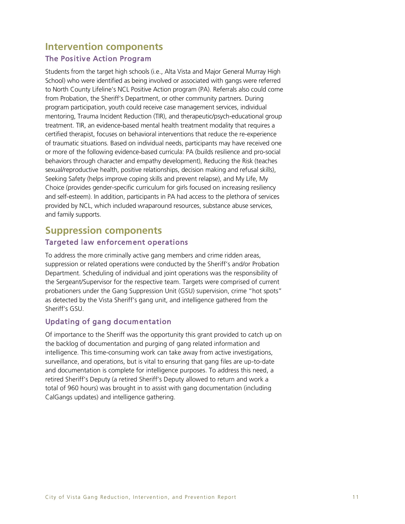# **Intervention components**

# The Positive Action Program

Students from the target high schools (i.e., Alta Vista and Major General Murray High School) who were identified as being involved or associated with gangs were referred to North County Lifeline's NCL Positive Action program (PA). Referrals also could come from Probation, the Sheriff's Department, or other community partners. During program participation, youth could receive case management services, individual mentoring, Trauma Incident Reduction (TIR), and therapeutic/psych-educational group treatment. TIR, an evidence-based mental health treatment modality that requires a certified therapist, focuses on behavioral interventions that reduce the re-experience of traumatic situations. Based on individual needs, participants may have received one or more of the following evidence-based curricula: PA (builds resilience and pro-social behaviors through character and empathy development), Reducing the Risk (teaches sexual/reproductive health, positive relationships, decision making and refusal skills), Seeking Safety (helps improve coping skills and prevent relapse), and My Life, My Choice (provides gender-specific curriculum for girls focused on increasing resiliency and self-esteem). In addition, participants in PA had access to the plethora of services provided by NCL, which included wraparound resources, substance abuse services, and family supports.

# **Suppression components** Targeted law enforcement operations

To address the more criminally active gang members and crime ridden areas, suppression or related operations were conducted by the Sheriff's and/or Probation Department. Scheduling of individual and joint operations was the responsibility of the Sergeant/Supervisor for the respective team. Targets were comprised of current probationers under the Gang Suppression Unit (GSU) supervision, crime "hot spots" as detected by the Vista Sheriff's gang unit, and intelligence gathered from the Sheriff's GSU.

# Updating of gang documentation

Of importance to the Sheriff was the opportunity this grant provided to catch up on the backlog of documentation and purging of gang related information and intelligence. This time-consuming work can take away from active investigations, surveillance, and operations, but is vital to ensuring that gang files are up-to-date and documentation is complete for intelligence purposes. To address this need, a retired Sheriff's Deputy (a retired Sheriff's Deputy allowed to return and work a total of 960 hours) was brought in to assist with gang documentation (including CalGangs updates) and intelligence gathering.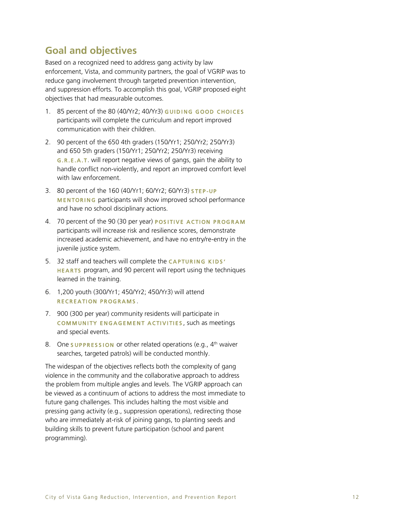# **Goal and objectives**

Based on a recognized need to address gang activity by law enforcement, Vista, and community partners, the goal of VGRIP was to reduce gang involvement through targeted prevention intervention, and suppression efforts. To accomplish this goal, VGRIP proposed eight objectives that had measurable outcomes.

- 1. 85 percent of the 80 (40/Yr2; 40/Yr3) GUIDING GOOD CHOICES participants will complete the curriculum and report improved communication with their children.
- 2. 90 percent of the 650 4th graders (150/Yr1; 250/Yr2; 250/Yr3) and 650 5th graders (150/Yr1; 250/Yr2; 250/Yr3) receiving G . R . E . A . T. will report negative views of gangs, gain the ability to handle conflict non-violently, and report an improved comfort level with law enforcement.
- 3. 80 percent of the 160 (40/Yr1; 60/Yr2; 60/Yr3) **STEP-UP** MENTORING participants will show improved school performance and have no school disciplinary actions.
- 4. 70 percent of the 90 (30 per year) POSITIVE ACTION PROGRAM participants will increase risk and resilience scores, demonstrate increased academic achievement, and have no entry/re-entry in the juvenile justice system.
- 5. 32 staff and teachers will complete the CAPTURING KIDS' HEARTS program, and 90 percent will report using the techniques learned in the training.
- 6. 1,200 youth (300/Yr1; 450/Yr2; 450/Yr3) will attend RECREATION PROGRAMS.
- 7. 900 (300 per year) community residents will participate in COMMUNITY ENGAGEMENT ACTIVITIES, such as meetings and special events.
- 8. One **SUPPRESSION** or other related operations (e.g., 4<sup>th</sup> waiver searches, targeted patrols) will be conducted monthly.

The widespan of the objectives reflects both the complexity of gang violence in the community and the collaborative approach to address the problem from multiple angles and levels. The VGRIP approach can be viewed as a continuum of actions to address the most immediate to future gang challenges. This includes halting the most visible and pressing gang activity (e.g., suppression operations), redirecting those who are immediately at-risk of joining gangs, to planting seeds and building skills to prevent future participation (school and parent programming).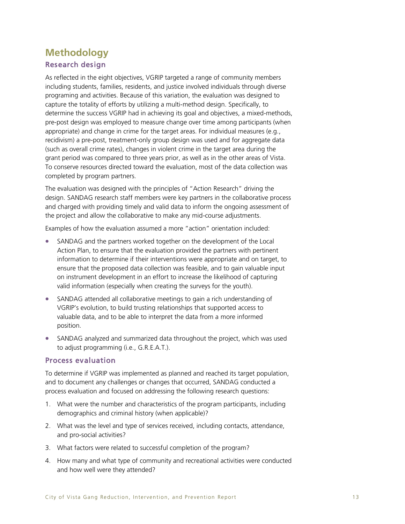# **Methodology** Research design

As reflected in the eight objectives, VGRIP targeted a range of community members including students, families, residents, and justice involved individuals through diverse programing and activities. Because of this variation, the evaluation was designed to capture the totality of efforts by utilizing a multi-method design. Specifically, to determine the success VGRIP had in achieving its goal and objectives, a mixed-methods, pre-post design was employed to measure change over time among participants (when appropriate) and change in crime for the target areas. For individual measures (e.g., recidivism) a pre-post, treatment-only group design was used and for aggregate data (such as overall crime rates), changes in violent crime in the target area during the grant period was compared to three years prior, as well as in the other areas of Vista. To conserve resources directed toward the evaluation, most of the data collection was completed by program partners.

The evaluation was designed with the principles of "Action Research" driving the design. SANDAG research staff members were key partners in the collaborative process and charged with providing timely and valid data to inform the ongoing assessment of the project and allow the collaborative to make any mid-course adjustments.

Examples of how the evaluation assumed a more "action" orientation included:

- SANDAG and the partners worked together on the development of the Local Action Plan, to ensure that the evaluation provided the partners with pertinent information to determine if their interventions were appropriate and on target, to ensure that the proposed data collection was feasible, and to gain valuable input on instrument development in an effort to increase the likelihood of capturing valid information (especially when creating the surveys for the youth).
- SANDAG attended all collaborative meetings to gain a rich understanding of VGRIP's evolution, to build trusting relationships that supported access to valuable data, and to be able to interpret the data from a more informed position.
- SANDAG analyzed and summarized data throughout the project, which was used to adjust programming (i.e., G.R.E.A.T.).

# Process evaluation

To determine if VGRIP was implemented as planned and reached its target population, and to document any challenges or changes that occurred, SANDAG conducted a process evaluation and focused on addressing the following research questions:

- 1. What were the number and characteristics of the program participants, including demographics and criminal history (when applicable)?
- 2. What was the level and type of services received, including contacts, attendance, and pro-social activities?
- 3. What factors were related to successful completion of the program?
- 4. How many and what type of community and recreational activities were conducted and how well were they attended?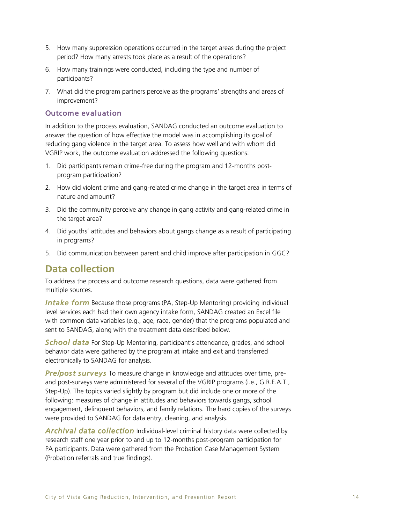- 5. How many suppression operations occurred in the target areas during the project period? How many arrests took place as a result of the operations?
- 6. How many trainings were conducted, including the type and number of participants?
- 7. What did the program partners perceive as the programs' strengths and areas of improvement?

# Outcome evaluation

In addition to the process evaluation, SANDAG conducted an outcome evaluation to answer the question of how effective the model was in accomplishing its goal of reducing gang violence in the target area. To assess how well and with whom did VGRIP work, the outcome evaluation addressed the following questions:

- 1. Did participants remain crime-free during the program and 12-months postprogram participation?
- 2. How did violent crime and gang-related crime change in the target area in terms of nature and amount?
- 3. Did the community perceive any change in gang activity and gang-related crime in the target area?
- 4. Did youths' attitudes and behaviors about gangs change as a result of participating in programs?
- 5. Did communication between parent and child improve after participation in GGC?

# **Data collection**

To address the process and outcome research questions, data were gathered from multiple sources.

**Intake form** Because those programs (PA, Step-Up Mentoring) providing individual level services each had their own agency intake form, SANDAG created an Excel file with common data variables (e.g., age, race, gender) that the programs populated and sent to SANDAG, along with the treatment data described below.

*School data* For Step-Up Mentoring, participant's attendance, grades, and school behavior data were gathered by the program at intake and exit and transferred electronically to SANDAG for analysis.

*Pre/post surveys* To measure change in knowledge and attitudes over time, preand post-surveys were administered for several of the VGRIP programs (i.e., G.R.E.A.T., Step-Up). The topics varied slightly by program but did include one or more of the following: measures of change in attitudes and behaviors towards gangs, school engagement, delinquent behaviors, and family relations. The hard copies of the surveys were provided to SANDAG for data entry, cleaning, and analysis.

*Archival data collection* Individual-level criminal history data were collected by research staff one year prior to and up to 12-months post-program participation for PA participants. Data were gathered from the Probation Case Management System (Probation referrals and true findings).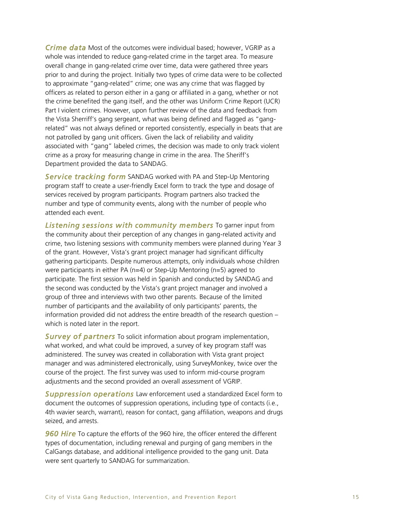*Crime data* Most of the outcomes were individual based; however, VGRIP as a whole was intended to reduce gang-related crime in the target area. To measure overall change in gang-related crime over time, data were gathered three years prior to and during the project. Initially two types of crime data were to be collected to approximate "gang-related" crime; one was any crime that was flagged by officers as related to person either in a gang or affiliated in a gang, whether or not the crime benefited the gang itself, and the other was Uniform Crime Report (UCR) Part I violent crimes. However, upon further review of the data and feedback from the Vista Sherriff's gang sergeant, what was being defined and flagged as "gangrelated" was not always defined or reported consistently, especially in beats that are not patrolled by gang unit officers. Given the lack of reliability and validity associated with "gang" labeled crimes, the decision was made to only track violent crime as a proxy for measuring change in crime in the area. The Sheriff's Department provided the data to SANDAG.

*Service tracking form* SANDAG worked with PA and Step-Up Mentoring program staff to create a user-friendly Excel form to track the type and dosage of services received by program participants. Program partners also tracked the number and type of community events, along with the number of people who attended each event.

*Listening sessions with community members* To garner input from the community about their perception of any changes in gang-related activity and crime, two listening sessions with community members were planned during Year 3 of the grant. However, Vista's grant project manager had significant difficulty gathering participants. Despite numerous attempts, only individuals whose children were participants in either PA (n=4) or Step-Up Mentoring (n=5) agreed to participate. The first session was held in Spanish and conducted by SANDAG and the second was conducted by the Vista's grant project manager and involved a group of three and interviews with two other parents. Because of the limited number of participants and the availability of only participants' parents, the information provided did not address the entire breadth of the research question – which is noted later in the report.

*Survey of partners* To solicit information about program implementation, what worked, and what could be improved, a survey of key program staff was administered. The survey was created in collaboration with Vista grant project manager and was administered electronically, using SurveyMonkey, twice over the course of the project. The first survey was used to inform mid-course program adjustments and the second provided an overall assessment of VGRIP.

*Suppression operations* Law enforcement used a standardized Excel form to document the outcomes of suppression operations, including type of contacts (i.e., 4th wavier search, warrant), reason for contact, gang affiliation, weapons and drugs seized, and arrests.

**960 Hire** To capture the efforts of the 960 hire, the officer entered the different types of documentation, including renewal and purging of gang members in the CalGangs database, and additional intelligence provided to the gang unit. Data were sent quarterly to SANDAG for summarization.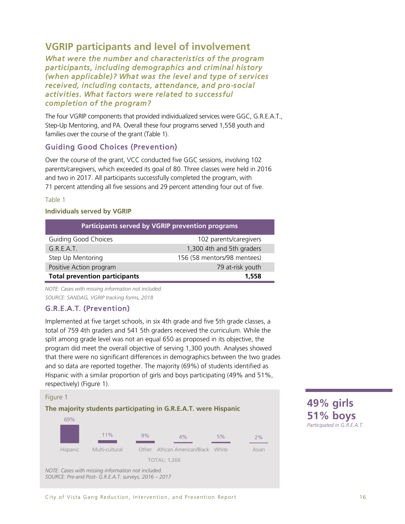# **VGRIP participants and level of involvement**

*What were the number and characteristics of the program participants, including demographics and criminal history (when applicable)? What was the level and type of services received, including contacts, attendance, and pro-social activities. What factors were related to successful completion of the program?* 

The four VGRIP components that provided individualized services were GGC, G.R.E.A.T., Step-Up Mentoring, and PA. Overall these four programs served 1,558 youth and families over the course of the grant (Table 1).

# Guiding Good Choices (Prevention)

Over the course of the grant, VCC conducted five GGC sessions, involving 102 parents/caregivers, which exceeded its goal of 80. Three classes were held in 2016 and two in 2017. All participants successfully completed the program, with 71 percent attending all five sessions and 29 percent attending four out of five.

### Table 1

### **Individuals served by VGRIP**

| Participants served by VGRIP prevention programs |                             |  |  |
|--------------------------------------------------|-----------------------------|--|--|
| <b>Guiding Good Choices</b>                      | 102 parents/caregivers      |  |  |
| G.R.E.A.T.                                       | 1,300 4th and 5th graders   |  |  |
| Step Up Mentoring                                | 156 (58 mentors/98 mentees) |  |  |
| Positive Action program                          | 79 at-risk youth            |  |  |
| <b>Total prevention participants</b>             | 1,558                       |  |  |

*NOTE: Cases with missing information not included. SOURCE: SANDAG, VGRIP tracking forms, 2018*

# G.R.E.A.T. (Prevention)

Implemented at five target schools, in six 4th grade and five 5th grade classes, a total of 759 4th graders and 541 5th graders received the curriculum. While the split among grade level was not an equal 650 as proposed in its objective, the program did meet the overall objective of serving 1,300 youth. Analyses showed that there were no significant differences in demographics between the two grades and so data are reported together. The majority (69%) of students identified as Hispanic with a similar proportion of girls and boys participating (49% and 51%, respectively) (Figure 1).

### Figure 1

# **The majority students participating in G.R.E.A.T. were Hispanic**



**49% girls 51% boys**  *Participated in G.R.E.A.T.*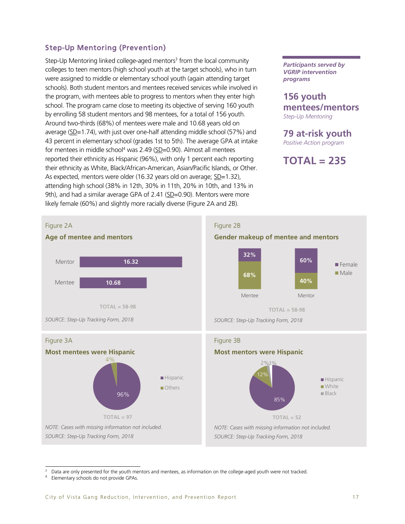# Step-Up Mentoring (Prevention)

Step-Up Mentoring linked college-aged mentors<sup>3</sup> from the local community colleges to teen mentors (high school youth at the target schools), who in turn were assigned to middle or elementary school youth (again attending target schools). Both student mentors and mentees received services while involved in the program, with mentees able to progress to mentors when they enter high school. The program came close to meeting its objective of serving 160 youth by enrolling 58 student mentors and 98 mentees, for a total of 156 youth. Around two-thirds (68%) of mentees were male and 10.68 years old on average ( $SD=1.74$ ), with just over one-half attending middle school (57%) and 43 percent in elementary school (grades 1st to 5th). The average GPA at intake for mentees in middle school<sup>4</sup> was 2.49 (SD=0.90). Almost all mentees reported their ethnicity as Hispanic (96%), with only 1 percent each reporting their ethnicity as White, Black/African-American, Asian/Pacific Islands, or Other. As expected, mentors were older (16.32 years old on average; SD=1.32), attending high school (38% in 12th, 30% in 11th, 20% in 10th, and 13% in 9th), and had a similar average GPA of 2.41 (SD=0.90). Mentors were more likely female (60%) and slightly more racially diverse (Figure 2A and 2B).

*Participants served by VGRIP intervention programs*

# **156 youth mentees/mentors**

*Step-Up Mentoring* 

**79 at-risk youth**

*Positive Action program*

# **TOTAL = 235**



 $\overline{a}$ Data are only presented for the youth mentors and mentees, as information on the college-aged youth were not tracked.

<sup>4</sup> Elementary schools do not provide GPAs.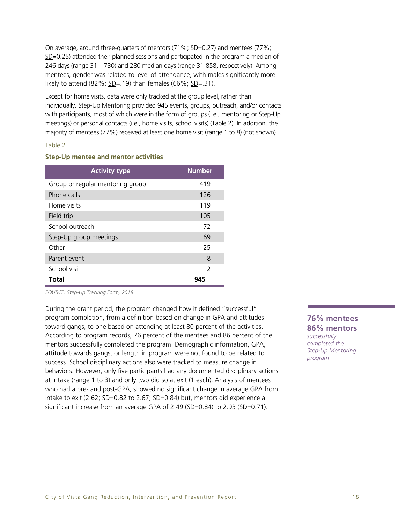On average, around three-quarters of mentors (71%; SD=0.27) and mentees (77%; SD=0.25) attended their planned sessions and participated in the program a median of 246 days (range 31 – 730) and 280 median days (range 31-858, respectively). Among mentees, gender was related to level of attendance, with males significantly more likely to attend  $(82\%; SD=.19)$  than females  $(66\%; SD=.31)$ .

Except for home visits, data were only tracked at the group level, rather than individually. Step-Up Mentoring provided 945 events, groups, outreach, and/or contacts with participants, most of which were in the form of groups (i.e., mentoring or Step-Up meetings) or personal contacts (i.e., home visits, school visits) (Table 2). In addition, the majority of mentees (77%) received at least one home visit (range 1 to 8) (not shown).

### Table 2

### **Step-Up mentee and mentor activities**

| <b>Activity type</b>             | <b>Number</b> |
|----------------------------------|---------------|
| Group or regular mentoring group | 419           |
| Phone calls                      | 126           |
| Home visits                      | 119           |
| Field trip                       | 105           |
| School outreach                  | 72            |
| Step-Up group meetings           | 69            |
| Other                            | 25            |
| Parent event                     | 8             |
| School visit                     | $\mathcal{P}$ |
| Total                            | 945           |

*SOURCE: Step-Up Tracking Form, 2018*

During the grant period, the program changed how it defined "successful" program completion, from a definition based on change in GPA and attitudes toward gangs, to one based on attending at least 80 percent of the activities. According to program records, 76 percent of the mentees and 86 percent of the mentors successfully completed the program. Demographic information, GPA, attitude towards gangs, or length in program were not found to be related to success. School disciplinary actions also were tracked to measure change in behaviors. However, only five participants had any documented disciplinary actions at intake (range 1 to 3) and only two did so at exit (1 each). Analysis of mentees who had a pre- and post-GPA, showed no significant change in average GPA from intake to exit (2.62;  $SD=0.82$  to 2.67;  $SD=0.84$ ) but, mentors did experience a significant increase from an average GPA of 2.49 (SD=0.84) to 2.93 (SD=0.71).

**76% mentees 86% mentors**  *successfully completed the Step-Up Mentoring program*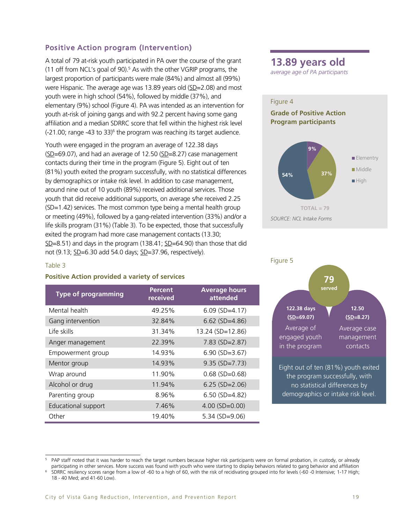# Positive Action program (Intervention)

A total of 79 at-risk youth participated in PA over the course of the grant (11 off from NCL's goal of 90).<sup>5</sup> As with the other VGRIP programs, the largest proportion of participants were male (84%) and almost all (99%) were Hispanic. The average age was 13.89 years old (SD=2.08) and most youth were in high school (54%), followed by middle (37%), and elementary (9%) school (Figure 4). PA was intended as an intervention for youth at-risk of joining gangs and with 92.2 percent having some gang affiliation and a median SDRRC score that fell within the highest risk level (-21.00; range -43 to 33)<sup>6</sup> the program was reaching its target audience.

Youth were engaged in the program an average of 122.38 days  $(SD=69.07)$ , and had an average of 12.50  $(SD=8.27)$  case management contacts during their time in the program (Figure 5). Eight out of ten (81%) youth exited the program successfully, with no statistical differences by demographics or intake risk level. In addition to case management, around nine out of 10 youth (89%) received additional services. Those youth that did receive additional supports, on average s/he received 2.25 (SD=1.42) services. The most common type being a mental health group or meeting (49%), followed by a gang-related intervention (33%) and/or a life skills program (31%) (Table 3). To be expected, those that successfully exited the program had more case management contacts (13.30; SD=8.51) and days in the program (138.41; SD=64.90) than those that did not (9.13; SD=6.30 add 54.0 days; SD=37.96, respectively).

#### Table 3

# **Positive Action provided a variety of services**

| <b>Type of programming</b> | <b>Percent</b><br>received | <b>Average hours</b><br>attended |
|----------------------------|----------------------------|----------------------------------|
| Mental health              | 49.25%                     | $6.09$ (SD=4.17)                 |
| Gang intervention          | 32.84%                     | $6.62$ (SD=4.86)                 |
| Life skills                | 31.34%                     | 13.24 (SD=12.86)                 |
| Anger management           | 22.39%                     | $7.83$ (SD=2.87)                 |
| Empowerment group          | 14.93%                     | $6.90$ (SD=3.67)                 |
| Mentor group               | 14.93%                     | $9.35$ (SD=7.73)                 |
| Wrap around                | 11.90%                     | $0.68$ (SD=0.68)                 |
| Alcohol or drug            | 11.94%                     | $6.25$ (SD=2.06)                 |
| Parenting group            | 8.96%                      | $6.50$ (SD=4.82)                 |
| Educational support        | 7.46%                      | $4.00$ (SD=0.00)                 |
| Other                      | 19.40%                     | $5.34$ (SD=9.06)                 |



*average age of PA participants* 





j PAP staff noted that it was harder to reach the target numbers because higher risk participants were on formal probation, in custody, or already participating in other services. More success was found with youth who were starting to display behaviors related to gang behavior and affiliation

<sup>6</sup> SDRRC resiliency scores range from a low of -60 to a high of 60, with the risk of recidivating grouped into for levels (-60 -0 Intensive; 1-17 High; 18 - 40 Med; and 41-60 Low).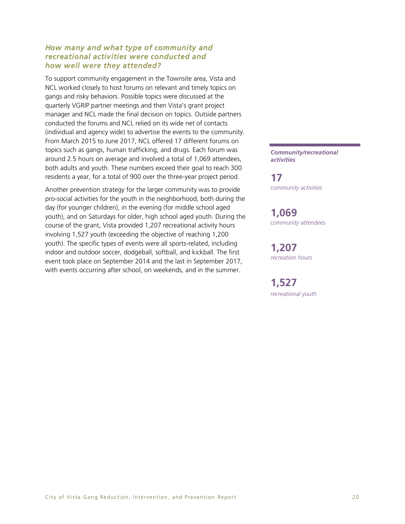# *How many and what type of community and recreational activities were conducted and how well were they attended?*

To support community engagement in the Townsite area, Vista and NCL worked closely to host forums on relevant and timely topics on gangs and risky behaviors. Possible topics were discussed at the quarterly VGRIP partner meetings and then Vista's grant project manager and NCL made the final decision on topics. Outside partners conducted the forums and NCL relied on its wide net of contacts (individual and agency wide) to advertise the events to the community. From March 2015 to June 2017, NCL offered 17 different forums on topics such as gangs, human trafficking, and drugs. Each forum was around 2.5 hours on average and involved a total of 1,069 attendees, both adults and youth. These numbers exceed their goal to reach 300 residents a year, for a total of 900 over the three-year project period.

Another prevention strategy for the larger community was to provide pro-social activities for the youth in the neighborhood, both during the day (for younger children), in the evening (for middle school aged youth), and on Saturdays for older, high school aged youth. During the course of the grant, Vista provided 1,207 recreational activity hours involving 1,527 youth (exceeding the objective of reaching 1,200 youth). The specific types of events were all sports-related, including indoor and outdoor soccer, dodgeball, softball, and kickball. The first event took place on September 2014 and the last in September 2017, with events occurring after school, on weekends, and in the summer.

*Community/recreational activities*

**17** *community activities*

**1,069** *community attendees*

**1,207** *recreation hours*

**1,527** *recreational youth*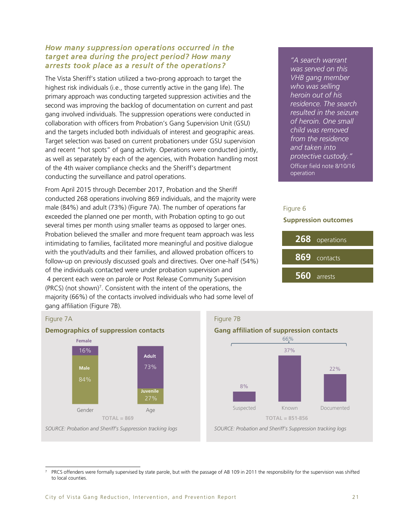# *How many suppression operations occurred in the target area during the project period? How many arrests took place as a result of the operations?*

The Vista Sheriff's station utilized a two-prong approach to target the highest risk individuals (i.e., those currently active in the gang life). The primary approach was conducting targeted suppression activities and the second was improving the backlog of documentation on current and past gang involved individuals. The suppression operations were conducted in collaboration with officers from Probation's Gang Supervision Unit (GSU) and the targets included both individuals of interest and geographic areas. Target selection was based on current probationers under GSU supervision and recent "hot spots" of gang activity. Operations were conducted jointly, as well as separately by each of the agencies, with Probation handling most of the 4th waiver compliance checks and the Sheriff's department conducting the surveillance and patrol operations.

From April 2015 through December 2017, Probation and the Sheriff conducted 268 operations involving 869 individuals, and the majority were male (84%) and adult (73%) (Figure 7A). The number of operations far exceeded the planned one per month, with Probation opting to go out several times per month using smaller teams as opposed to larger ones. Probation believed the smaller and more frequent team approach was less intimidating to families, facilitated more meaningful and positive dialogue with the youth/adults and their families, and allowed probation officers to follow-up on previously discussed goals and directives. Over one-half (54%) of the individuals contacted were under probation supervision and 4 percent each were on parole or Post Release Community Supervision  $(PRCS)$  (not shown)<sup>7</sup>. Consistent with the intent of the operations, the majority (66%) of the contacts involved individuals who had some level of gang affiliation (Figure 7B).

*"A search warrant was served on this VHB gang member who was selling heroin out of his residence. The search resulted in the seizure of heroin. One small child was removed from the residence and taken into protective custody."*  Officer field note 8/10/16 operation

# Figure 6

### **Suppression outcomes**



### Figure 7A



# Figure 7B



j PRCS offenders were formally supervised by state parole, but with the passage of AB 109 in 2011 the responsibility for the supervision was shifted to local counties.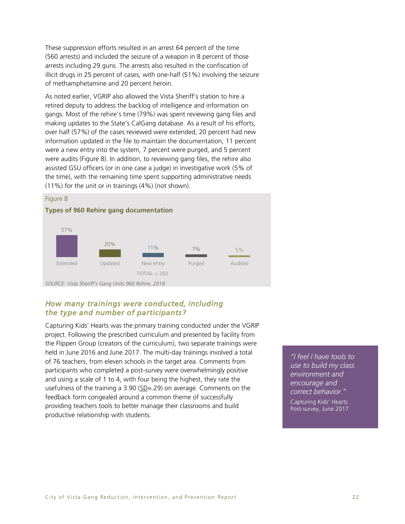These suppression efforts resulted in an arrest 64 percent of the time (560 arrests) and included the seizure of a weapon in 8 percent of those arrests including 29 guns. The arrests also resulted in the confiscation of illicit drugs in 25 percent of cases, with one-half (51%) involving the seizure of methamphetamine and 20 percent heroin.

As noted earlier, VGRIP also allowed the Vista Sheriff's station to hire a retired deputy to address the backlog of intelligence and information on gangs. Most of the rehire's time (79%) was spent reviewing gang files and making updates to the State's CalGang database. As a result of his efforts, over half (57%) of the cases reviewed were extended, 20 percent had new information updated in the file to maintain the documentation, 11 percent were a new entry into the system, 7 percent were purged, and 5 percent were audits (Figure 8). In addition, to reviewing gang files, the rehire also assisted GSU officers (or in one case a judge) in investigative work (5% of the time), with the remaining time spent supporting administrative needs (11%) for the unit or in trainings (4%) (not shown).



### **Types of 960 Rehire gang documentation**



*SOURCE: Vista Sheriff's Gang Units 960 Rehire, 2018*

# *How many trainings were conducted, including the type and number of participants?*

Capturing Kids' Hearts was the primary training conducted under the VGRIP project. Following the prescribed curriculum and presented by facility from the Flippen Group (creators of the curriculum), two separate trainings were held in June 2016 and June 2017. The multi-day trainings involved a total of 76 teachers, from eleven schools in the target area. Comments from participants who completed a post-survey were overwhelmingly positive and using a scale of 1 to 4, with four being the highest, they rate the usefulness of the training a 3.90 ( $SD = .29$ ) on average. Comments on the feedback form congealed around a common theme of successfully providing teachers tools to better manage their classrooms and build productive relationship with students.

*"I feel I have tools to use to build my class environment and encourage and correct behavior."* Capturing Kids' Hearts Post-survey, June 2017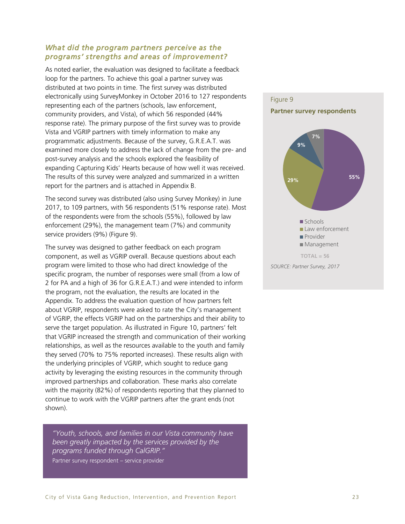### *What did the program partners perceive as the programs' strengths and areas of improvement?*

As noted earlier, the evaluation was designed to facilitate a feedback loop for the partners. To achieve this goal a partner survey was distributed at two points in time. The first survey was distributed electronically using SurveyMonkey in October 2016 to 127 respondents representing each of the partners (schools, law enforcement, community providers, and Vista), of which 56 responded (44% response rate). The primary purpose of the first survey was to provide Vista and VGRIP partners with timely information to make any programmatic adjustments. Because of the survey, G.R.E.A.T. was examined more closely to address the lack of change from the pre- and post-survey analysis and the schools explored the feasibility of expanding Capturing Kids' Hearts because of how well it was received. The results of this survey were analyzed and summarized in a written report for the partners and is attached in Appendix B.

The second survey was distributed (also using Survey Monkey) in June 2017, to 109 partners, with 56 respondents (51% response rate). Most of the respondents were from the schools (55%), followed by law enforcement (29%), the management team (7%) and community service providers (9%) (Figure 9).

The survey was designed to gather feedback on each program component, as well as VGRIP overall. Because questions about each program were limited to those who had direct knowledge of the specific program, the number of responses were small (from a low of 2 for PA and a high of 36 for G.R.E.A.T.) and were intended to inform the program, not the evaluation, the results are located in the Appendix. To address the evaluation question of how partners felt about VGRIP, respondents were asked to rate the City's management of VGRIP, the effects VGRIP had on the partnerships and their ability to serve the target population. As illustrated in Figure 10, partners' felt that VGRIP increased the strength and communication of their working relationships, as well as the resources available to the youth and family they served (70% to 75% reported increases). These results align with the underlying principles of VGRIP, which sought to reduce gang activity by leveraging the existing resources in the community through improved partnerships and collaboration. These marks also correlate with the majority (82%) of respondents reporting that they planned to continue to work with the VGRIP partners after the grant ends (not shown).

*"Youth, schools, and families in our Vista community have been greatly impacted by the services provided by the programs funded through CalGRIP."* Partner survey respondent – service provider

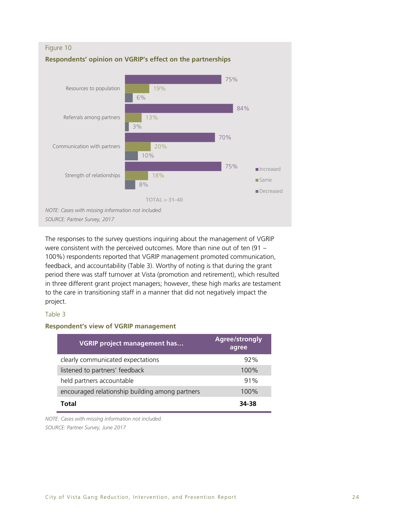

The responses to the survey questions inquiring about the management of VGRIP were consistent with the perceived outcomes. More than nine out of ten (91 – 100%) respondents reported that VGRIP management promoted communication, feedback, and accountability (Table 3). Worthy of noting is that during the grant period there was staff turnover at Vista (promotion and retirement), which resulted in three different grant project managers; however, these high marks are testament to the care in transitioning staff in a manner that did not negatively impact the project.

### Table 3

### **Respondent's view of VGRIP management**

| <b>VGRIP project management has</b>             | Agree/strongly<br>agree |
|-------------------------------------------------|-------------------------|
| clearly communicated expectations               | 92%                     |
| listened to partners' feedback                  | 100%                    |
| held partners accountable                       | 91%                     |
| encouraged relationship building among partners | 100%                    |
| Total                                           | 34-38                   |

*NOTE: Cases with missing information not included. SOURCE: Partner Survey, June 2017*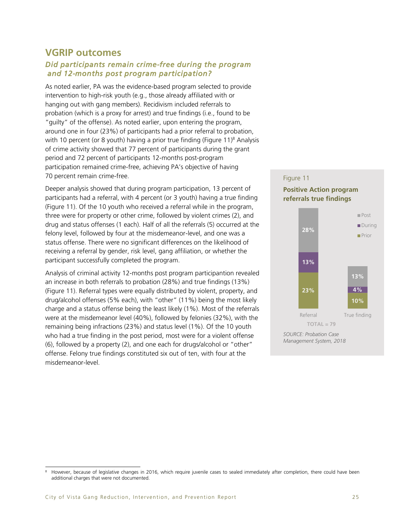# **VGRIP outcomes**

### *Did participants remain crime-free during the program and 12-months post program participation?*

As noted earlier, PA was the evidence-based program selected to provide intervention to high-risk youth (e.g., those already affiliated with or hanging out with gang members). Recidivism included referrals to probation (which is a proxy for arrest) and true findings (i.e., found to be "guilty" of the offense). As noted earlier, upon entering the program, around one in four (23%) of participants had a prior referral to probation, with 10 percent (or 8 youth) having a prior true finding (Figure 11) <sup>8</sup> Analysis of crime activity showed that 77 percent of participants during the grant period and 72 percent of participants 12-months post-program participation remained crime-free, achieving PA's objective of having 70 percent remain crime-free.

Deeper analysis showed that during program participation, 13 percent of participants had a referral, with 4 percent (or 3 youth) having a true finding (Figure 11). Of the 10 youth who received a referral while in the program, three were for property or other crime, followed by violent crimes (2), and drug and status offenses (1 each). Half of all the referrals (5) occurred at the felony level, followed by four at the misdemeanor-level, and one was a status offense. There were no significant differences on the likelihood of receiving a referral by gender, risk level, gang affiliation, or whether the participant successfully completed the program.

Analysis of criminal activity 12-months post program participantion revealed an increase in both referrals to probation (28%) and true findings (13%) (Figure 11). Referral types were equally distributed by violent, property, and drug/alcohol offenses (5% each), with "other" (11%) being the most likely charge and a status offense being the least likely (1%). Most of the referrals were at the misdemeanor level (40%), followed by felonies (32%), with the remaining being infractions (23%) and status level (1%). Of the 10 youth who had a true finding in the post period, most were for a violent offense (6), followed by a property (2), and one each for drugs/alcohol or "other" offense. Felony true findings constituted six out of ten, with four at the misdemeanor-level.

# Figure 11 **Positive Action program referrals true findings**



j However, because of legislative changes in 2016, which require juvenile cases to sealed immediately after completion, there could have been additional charges that were not documented.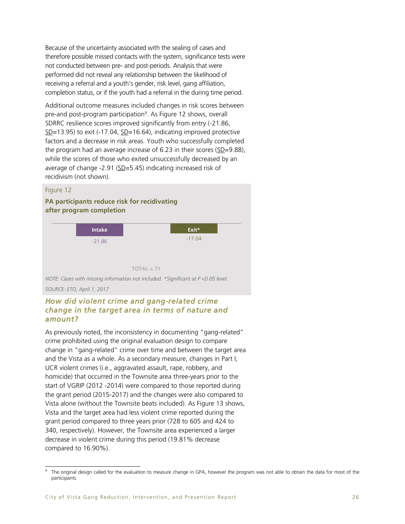Because of the uncertainty associated with the sealing of cases and therefore possible missed contacts with the system, significance tests were not conducted between pre- and post-periods. Analysis that were performed did not reveal any relationship between the likelihood of receiving a referral and a youth's gender, risk level, gang affiliation, completion status, or if the youth had a referral in the during time period.

Additional outcome measures included changes in risk scores between pre-and post-program participation<sup>9</sup>. As Figure 12 shows, overall SDRRC resilience scores improved significantly from entry (-21.86,  $SD=13.95$ ) to exit (-17.04,  $SD=16.64$ ), indicating improved protective factors and a decrease in risk areas. Youth who successfully completed the program had an average increase of 6.23 in their scores  $(SD=9.88)$ , while the scores of those who exited unsuccessfully decreased by an average of change -2.91 (SD=5.45) indicating increased risk of recidivism (not shown).

### Figure 12

**PA participants reduce risk for recidivating after program completion**



*NOTE: Cases with missing information not included. \*Significant at P <0.05 level. SOURCE: ETO, April 1, 2017*

# *How did violent crime and gang-related crime change in the target area in terms of nature and amount?*

As previously noted, the inconsistency in documenting "gang-related" crime prohibited using the original evaluation design to compare change in "gang-related" crime over time and between the target area and the Vista as a whole. As a secondary measure, changes in Part I, UCR violent crimes (i.e., aggravated assault, rape, robbery, and homicide) that occurred in the Townsite area three-years prior to the start of VGRIP (2012 -2014) were compared to those reported during the grant period (2015-2017) and the changes were also compared to Vista alone (without the Townsite beats included). As Figure 13 shows, Vista and the target area had less violent crime reported during the grant period compared to three years prior (728 to 605 and 424 to 340, respectively). However, the Townsite area experienced a larger decrease in violent crime during this period (19.81% decrease compared to 16.90%).

 $\overline{a}$ 9 The original design called for the evaluation to measure change in GPA, however the program was not able to obtain the data for most of the participants.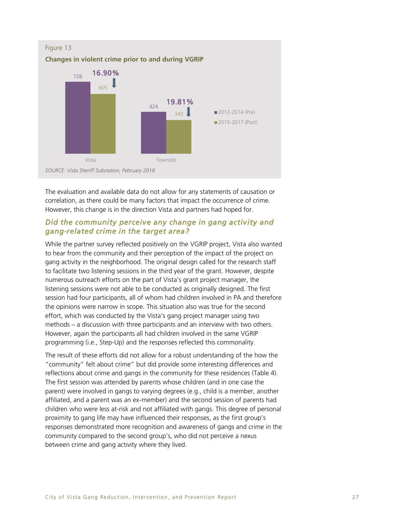

The evaluation and available data do not allow for any statements of causation or correlation, as there could be many factors that impact the occurrence of crime. However, this change is in the direction Vista and partners had hoped for.

# *Did the community perceive any change in gang activity and gang-related crime in the target area?*

While the partner survey reflected positively on the VGRIP project, Vista also wanted to hear from the community and their perception of the impact of the project on gang activity in the neighborhood. The original design called for the research staff to facilitate two listening sessions in the third year of the grant. However, despite numerous outreach efforts on the part of Vista's grant project manager, the listening sessions were not able to be conducted as originally designed. The first session had four participants, all of whom had children involved in PA and therefore the opinions were narrow in scope. This situation also was true for the second effort, which was conducted by the Vista's gang project manager using two methods – a discussion with three participants and an interview with two others. However, again the participants all had children involved in the same VGRIP programming (i.e., Step-Up) and the responses reflected this commonality.

The result of these efforts did not allow for a robust understanding of the how the "community" felt about crime" but did provide some interesting differences and reflections about crime and gangs in the community for these residences (Table 4). The first session was attended by parents whose children (and in one case the parent) were involved in gangs to varying degrees (e.g., child is a member, another affiliated, and a parent was an ex-member) and the second session of parents had children who were less at-risk and not affiliated with gangs. This degree of personal proximity to gang life may have influenced their responses, as the first group's responses demonstrated more recognition and awareness of gangs and crime in the community compared to the second group's, who did not perceive a nexus between crime and gang activity where they lived.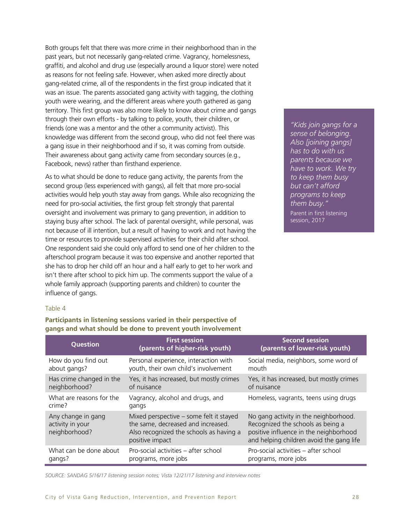Both groups felt that there was more crime in their neighborhood than in the past years, but not necessarily gang-related crime. Vagrancy, homelessness, graffiti, and alcohol and drug use (especially around a liquor store) were noted as reasons for not feeling safe. However, when asked more directly about gang-related crime, all of the respondents in the first group indicated that it was an issue. The parents associated gang activity with tagging, the clothing youth were wearing, and the different areas where youth gathered as gang territory. This first group was also more likely to know about crime and gangs through their own efforts - by talking to police, youth, their children, or friends (one was a mentor and the other a community activist). This knowledge was different from the second group, who did not feel there was a gang issue in their neighborhood and if so, it was coming from outside. Their awareness about gang activity came from secondary sources (e.g., Facebook, news) rather than firsthand experience.

As to what should be done to reduce gang activity, the parents from the second group (less experienced with gangs), all felt that more pro-social activities would help youth stay away from gangs. While also recognizing the need for pro-social activities, the first group felt strongly that parental oversight and involvement was primary to gang prevention, in addition to staying busy after school. The lack of parental oversight, while personal, was not because of ill intention, but a result of having to work and not having the time or resources to provide supervised activities for their child after school. One respondent said she could only afford to send one of her children to the afterschool program because it was too expensive and another reported that she has to drop her child off an hour and a half early to get to her work and isn't there after school to pick him up. The comments support the value of a whole family approach (supporting parents and children) to counter the influence of gangs.

*"Kids join gangs for a sense of belonging. Also [joining gangs] has to do with us parents because we have to work. We try to keep them busy but can't afford programs to keep them busy."* Parent in first listening session, 2017

### Table 4

**Participants in listening sessions varied in their perspective of gangs and what should be done to prevent youth involvement**

| Question                                                | <b>First session</b><br>(parents of higher-risk youth)                                                                                      | <b>Second session</b><br>(parents of lower-risk youth)                                                                                                           |
|---------------------------------------------------------|---------------------------------------------------------------------------------------------------------------------------------------------|------------------------------------------------------------------------------------------------------------------------------------------------------------------|
| How do you find out                                     | Personal experience, interaction with                                                                                                       | Social media, neighbors, some word of                                                                                                                            |
| about gangs?                                            | youth, their own child's involvement                                                                                                        | mouth                                                                                                                                                            |
| Has crime changed in the                                | Yes, it has increased, but mostly crimes                                                                                                    | Yes, it has increased, but mostly crimes                                                                                                                         |
| neighborhood?                                           | of nuisance                                                                                                                                 | of nuisance                                                                                                                                                      |
| What are reasons for the<br>crime?                      | Vagrancy, alcohol and drugs, and<br>gangs                                                                                                   | Homeless, vagrants, teens using drugs                                                                                                                            |
| Any change in gang<br>activity in your<br>neighborhood? | Mixed perspective – some felt it stayed<br>the same, decreased and increased.<br>Also recognized the schools as having a<br>positive impact | No gang activity in the neighborhood.<br>Recognized the schools as being a<br>positive influence in the neighborhood<br>and helping children avoid the gang life |
| What can be done about                                  | Pro-social activities - after school                                                                                                        | Pro-social activities – after school                                                                                                                             |
| gangs?                                                  | programs, more jobs                                                                                                                         | programs, more jobs                                                                                                                                              |

*SOURCE: SANDAG 5/16/17 listening session notes; Vista 12/21/17 listening and interview notes*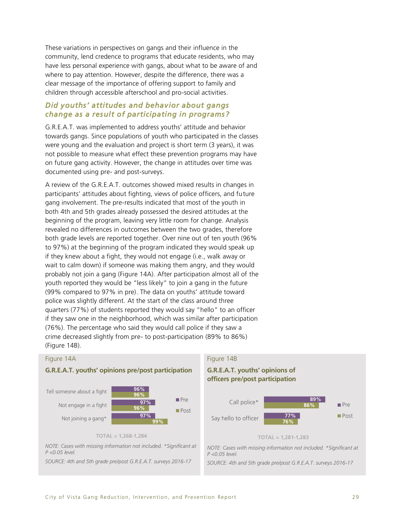These variations in perspectives on gangs and their influence in the community, lend credence to programs that educate residents, who may have less personal experience with gangs, about what to be aware of and where to pay attention. However, despite the difference, there was a clear message of the importance of offering support to family and children through accessible afterschool and pro-social activities.

### *Did youths' attitudes and behavior about gangs change as a result of participating in programs?*

G.R.E.A.T. was implemented to address youths' attitude and behavior towards gangs. Since populations of youth who participated in the classes were young and the evaluation and project is short term (3 years), it was not possible to measure what effect these prevention programs may have on future gang activity. However, the change in attitudes over time was documented using pre- and post-surveys.

A review of the G.R.E.A.T. outcomes showed mixed results in changes in participants' attitudes about fighting, views of police officers, and future gang involvement. The pre-results indicated that most of the youth in both 4th and 5th grades already possessed the desired attitudes at the beginning of the program, leaving very little room for change. Analysis revealed no differences in outcomes between the two grades, therefore both grade levels are reported together. Over nine out of ten youth (96% to 97%) at the beginning of the program indicated they would speak up if they knew about a fight, they would not engage (i.e., walk away or wait to calm down) if someone was making them angry, and they would probably not join a gang (Figure 14A). After participation almost all of the youth reported they would be "less likely" to join a gang in the future (99% compared to 97% in pre). The data on youths' attitude toward police was slightly different. At the start of the class around three quarters (77%) of students reported they would say "hello" to an officer if they saw one in the neighborhood, which was similar after participation (76%). The percentage who said they would call police if they saw a crime decreased slightly from pre- to post-participation (89% to 86%) (Figure 14B).

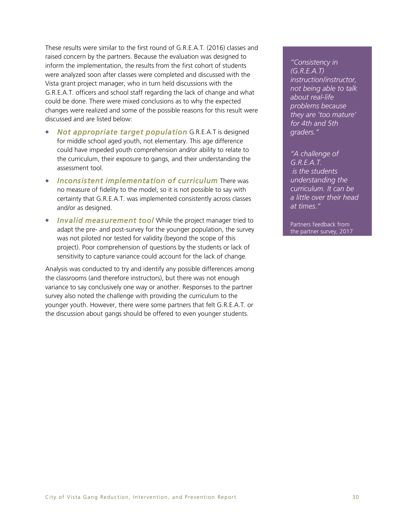These results were similar to the first round of G.R.E.A.T. (2016) classes and raised concern by the partners. Because the evaluation was designed to inform the implementation, the results from the first cohort of students were analyzed soon after classes were completed and discussed with the Vista grant project manager, who in turn held discussions with the G.R.E.A.T. officers and school staff regarding the lack of change and what could be done. There were mixed conclusions as to why the expected changes were realized and some of the possible reasons for this result were discussed and are listed below:

- *Not appropriate target population* G.R.E.A.T is designed for middle school aged youth, not elementary. This age difference could have impeded youth comprehension and/or ability to relate to the curriculum, their exposure to gangs, and their understanding the assessment tool.
- *Inconsistent implementation of curriculum* There was no measure of fidelity to the model, so it is not possible to say with certainty that G.R.E.A.T. was implemented consistently across classes and/or as designed.
- *Invalid measurement tool* While the project manager tried to adapt the pre- and post-survey for the younger population, the survey was not piloted nor tested for validity (beyond the scope of this project). Poor comprehension of questions by the students or lack of sensitivity to capture variance could account for the lack of change.

Analysis was conducted to try and identify any possible differences among the classrooms (and therefore instructors), but there was not enough variance to say conclusively one way or another. Responses to the partner survey also noted the challenge with providing the curriculum to the younger youth. However, there were some partners that felt G.R.E.A.T. or the discussion about gangs should be offered to even younger students.

*"Consistency in (G.R.E.A.T) instruction/instructor, not being able to talk about real-life problems because they are 'too mature' for 4th and 5th graders."*

*"A challenge of G.R.E.A.T. is the students understanding the curriculum. It can be a little over their head at times."*

Partners feedback from the partner survey, 2017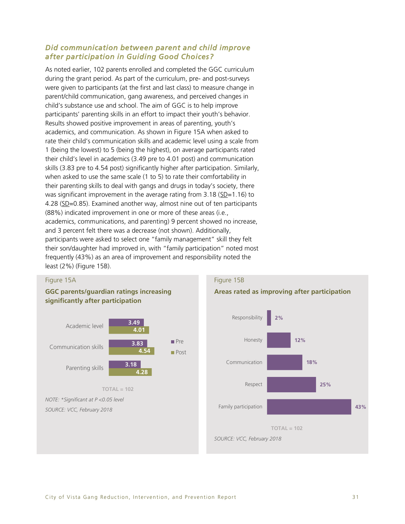# *Did communication between parent and child improve after participation in Guiding Good Choices?*

As noted earlier, 102 parents enrolled and completed the GGC curriculum during the grant period. As part of the curriculum, pre- and post-surveys were given to participants (at the first and last class) to measure change in parent/child communication, gang awareness, and perceived changes in child's substance use and school. The aim of GGC is to help improve participants' parenting skills in an effort to impact their youth's behavior. Results showed positive improvement in areas of parenting, youth's academics, and communication. As shown in Figure 15A when asked to rate their child's communication skills and academic level using a scale from 1 (being the lowest) to 5 (being the highest), on average participants rated their child's level in academics (3.49 pre to 4.01 post) and communication skills (3.83 pre to 4.54 post) significantly higher after participation. Similarly, when asked to use the same scale (1 to 5) to rate their comfortability in their parenting skills to deal with gangs and drugs in today's society, there was significant improvement in the average rating from 3.18 (SD=1.16) to 4.28 (SD=0.85). Examined another way, almost nine out of ten participants (88%) indicated improvement in one or more of these areas (i.e., academics, communications, and parenting) 9 percent showed no increase, and 3 percent felt there was a decrease (not shown). Additionally, participants were asked to select one "family management" skill they felt their son/daughter had improved in, with "family participation" noted most frequently (43%) as an area of improvement and responsibility noted the least (2%) (Figure 15B).



### Figure 15B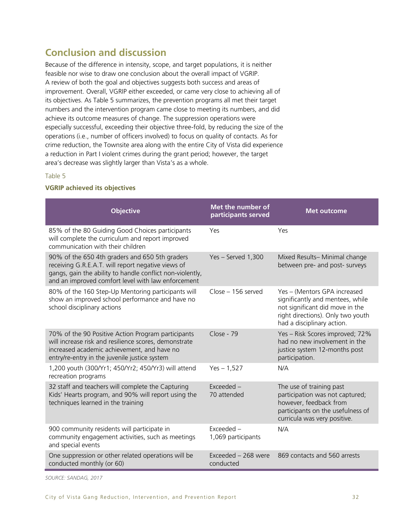# **Conclusion and discussion**

Because of the difference in intensity, scope, and target populations, it is neither feasible nor wise to draw one conclusion about the overall impact of VGRIP. A review of both the goal and objectives suggests both success and areas of improvement. Overall, VGRIP either exceeded, or came very close to achieving all of its objectives. As Table 5 summarizes, the prevention programs all met their target numbers and the intervention program came close to meeting its numbers, and did achieve its outcome measures of change. The suppression operations were especially successful, exceeding their objective three-fold, by reducing the size of the operations (i.e., number of officers involved) to focus on quality of contacts. As for crime reduction, the Townsite area along with the entire City of Vista did experience a reduction in Part I violent crimes during the grant period; however, the target area's decrease was slightly larger than Vista's as a whole.

### Table 5

### **VGRIP achieved its objectives**

| <b>Objective</b>                                                                                                                                                                                                        | Met the number of<br>participants served | <b>Met outcome</b>                                                                                                                                                     |
|-------------------------------------------------------------------------------------------------------------------------------------------------------------------------------------------------------------------------|------------------------------------------|------------------------------------------------------------------------------------------------------------------------------------------------------------------------|
| 85% of the 80 Guiding Good Choices participants<br>will complete the curriculum and report improved<br>communication with their children                                                                                | Yes                                      | Yes                                                                                                                                                                    |
| 90% of the 650 4th graders and 650 5th graders<br>receiving G.R.E.A.T. will report negative views of<br>gangs, gain the ability to handle conflict non-violently,<br>and an improved comfort level with law enforcement | Yes - Served 1,300                       | Mixed Results- Minimal change<br>between pre- and post- surveys                                                                                                        |
| 80% of the 160 Step-Up Mentoring participants will<br>show an improved school performance and have no<br>school disciplinary actions                                                                                    | $Close - 156$ served                     | Yes - (Mentors GPA increased<br>significantly and mentees, while<br>not significant did move in the<br>right directions). Only two youth<br>had a disciplinary action. |
| 70% of the 90 Positive Action Program participants<br>will increase risk and resilience scores, demonstrate<br>increased academic achievement, and have no<br>entry/re-entry in the juvenile justice system             | Close - 79                               | Yes - Risk Scores improved; 72%<br>had no new involvement in the<br>justice system 12-months post<br>participation.                                                    |
| 1,200 youth (300/Yr1; 450/Yr2; 450/Yr3) will attend<br>recreation programs                                                                                                                                              | $Yes - 1,527$                            | N/A                                                                                                                                                                    |
| 32 staff and teachers will complete the Capturing<br>Kids' Hearts program, and 90% will report using the<br>techniques learned in the training                                                                          | $Exceeded -$<br>70 attended              | The use of training past<br>participation was not captured;<br>however, feedback from<br>participants on the usefulness of<br>curricula was very positive.             |
| 900 community residents will participate in<br>community engagement activities, such as meetings<br>and special events                                                                                                  | $Exceeded -$<br>1,069 participants       | N/A                                                                                                                                                                    |
| One suppression or other related operations will be<br>conducted monthly (or 60)                                                                                                                                        | Exceeded - 268 were<br>conducted         | 869 contacts and 560 arrests                                                                                                                                           |

*SOURCE: SANDAG, 2017*